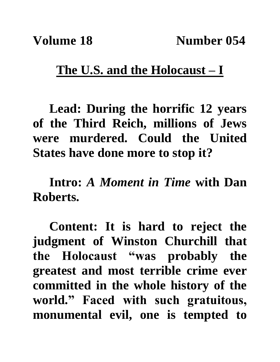## **The U.S. and the Holocaust – I**

**Lead: During the horrific 12 years of the Third Reich, millions of Jews were murdered. Could the United States have done more to stop it?**

**Intro:** *A Moment in Time* **with Dan Roberts.**

**Content: It is hard to reject the judgment of Winston Churchill that the Holocaust "was probably the greatest and most terrible crime ever committed in the whole history of the world." Faced with such gratuitous, monumental evil, one is tempted to**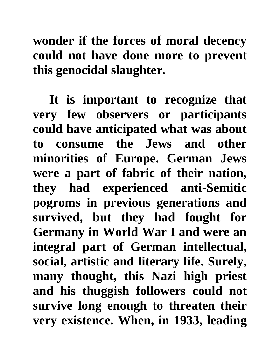## **wonder if the forces of moral decency could not have done more to prevent this genocidal slaughter.**

**It is important to recognize that very few observers or participants could have anticipated what was about to consume the Jews and other minorities of Europe. German Jews were a part of fabric of their nation, they had experienced anti-Semitic pogroms in previous generations and survived, but they had fought for Germany in World War I and were an integral part of German intellectual, social, artistic and literary life. Surely, many thought, this Nazi high priest and his thuggish followers could not survive long enough to threaten their very existence. When, in 1933, leading**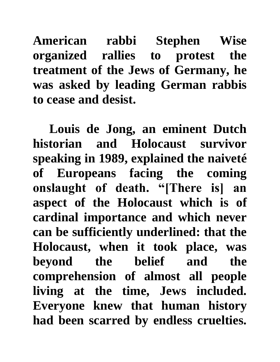**American rabbi Stephen Wise organized rallies to protest the treatment of the Jews of Germany, he was asked by leading German rabbis to cease and desist.**

**Louis de Jong, an eminent Dutch historian and Holocaust survivor speaking in 1989, explained the naiveté of Europeans facing the coming onslaught of death. "[There is] an aspect of the Holocaust which is of cardinal importance and which never can be sufficiently underlined: that the Holocaust, when it took place, was beyond the belief and the comprehension of almost all people living at the time, Jews included. Everyone knew that human history had been scarred by endless cruelties.**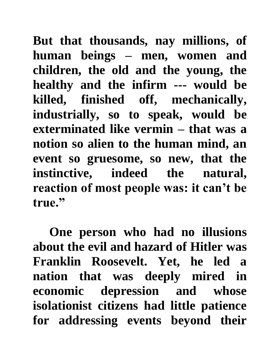**But that thousands, nay millions, of human beings – men, women and children, the old and the young, the healthy and the infirm --- would be killed, finished off, mechanically, industrially, so to speak, would be exterminated like vermin – that was a notion so alien to the human mind, an event so gruesome, so new, that the instinctive, indeed the natural, reaction of most people was: it can't be true."**

**One person who had no illusions about the evil and hazard of Hitler was Franklin Roosevelt. Yet, he led a nation that was deeply mired in economic depression and whose isolationist citizens had little patience for addressing events beyond their**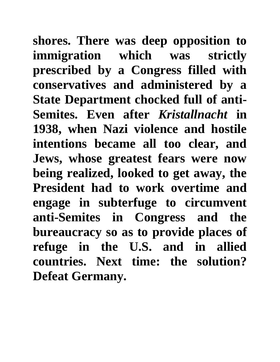**shores. There was deep opposition to immigration which was strictly prescribed by a Congress filled with conservatives and administered by a State Department chocked full of anti-Semites. Even after** *Kristallnacht* **in 1938, when Nazi violence and hostile intentions became all too clear, and Jews, whose greatest fears were now being realized, looked to get away, the President had to work overtime and engage in subterfuge to circumvent anti-Semites in Congress and the bureaucracy so as to provide places of refuge in the U.S. and in allied countries. Next time: the solution? Defeat Germany.**